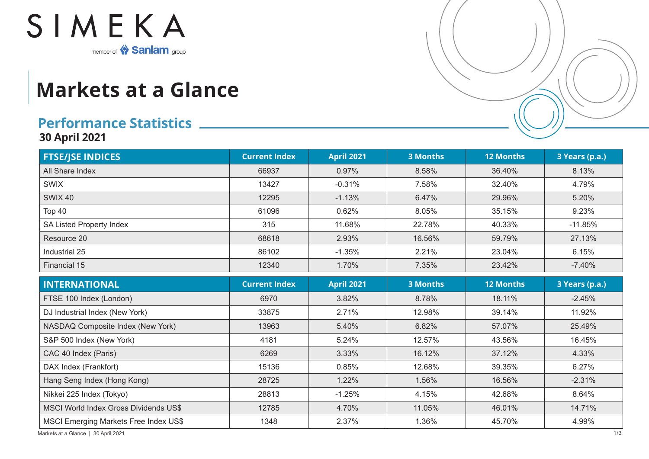

## **Markets at a Glance**

## **Performance Statistics**

**30 April 2021**

| <b>FTSE/JSE INDICES</b>                      | <b>Current Index</b> | <b>April 2021</b> | <b>3 Months</b> | <b>12 Months</b> | 3 Years (p.a.) |
|----------------------------------------------|----------------------|-------------------|-----------------|------------------|----------------|
| All Share Index                              | 66937                | 0.97%             | 8.58%           | 36.40%           | 8.13%          |
| <b>SWIX</b>                                  | 13427                | $-0.31%$          | 7.58%           | 32.40%           | 4.79%          |
| <b>SWIX 40</b>                               | 12295                | $-1.13%$          | 6.47%           | 29.96%           | 5.20%          |
| Top 40                                       | 61096                | 0.62%             | 8.05%           | 35.15%           | 9.23%          |
| SA Listed Property Index                     | 315                  | 11.68%            | 22.78%          | 40.33%           | $-11.85%$      |
| Resource 20                                  | 68618                | 2.93%             | 16.56%          | 59.79%           | 27.13%         |
| Industrial 25                                | 86102                | $-1.35%$          | 2.21%           | 23.04%           | 6.15%          |
| Financial 15                                 | 12340                | 1.70%             | 7.35%           | 23.42%           | $-7.40%$       |
| <b>INTERNATIONAL</b>                         | <b>Current Index</b> | <b>April 2021</b> | <b>3 Months</b> | <b>12 Months</b> | 3 Years (p.a.) |
| FTSE 100 Index (London)                      | 6970                 | 3.82%             | 8.78%           | 18.11%           | $-2.45%$       |
| DJ Industrial Index (New York)               | 33875                | 2.71%             | 12.98%          | 39.14%           | 11.92%         |
| NASDAQ Composite Index (New York)            | 13963                | 5.40%             | 6.82%           | 57.07%           | 25.49%         |
| S&P 500 Index (New York)                     | 4181                 | 5.24%             | 12.57%          | 43.56%           | 16.45%         |
| CAC 40 Index (Paris)                         | 6269                 | 3.33%             | 16.12%          | 37.12%           | 4.33%          |
| DAX Index (Frankfort)                        | 15136                | 0.85%             | 12.68%          | 39.35%           | 6.27%          |
| Hang Seng Index (Hong Kong)                  | 28725                | 1.22%             | 1.56%           | 16.56%           | $-2.31%$       |
| Nikkei 225 Index (Tokyo)                     | 28813                | $-1.25%$          | 4.15%           | 42.68%           | 8.64%          |
| <b>MSCI World Index Gross Dividends US\$</b> | 12785                | 4.70%             | 11.05%          | 46.01%           | 14.71%         |
| <b>MSCI Emerging Markets Free Index US\$</b> | 1348                 | 2.37%             | 1.36%           | 45.70%           | 4.99%          |

Markets at a Glance | 30 April 2021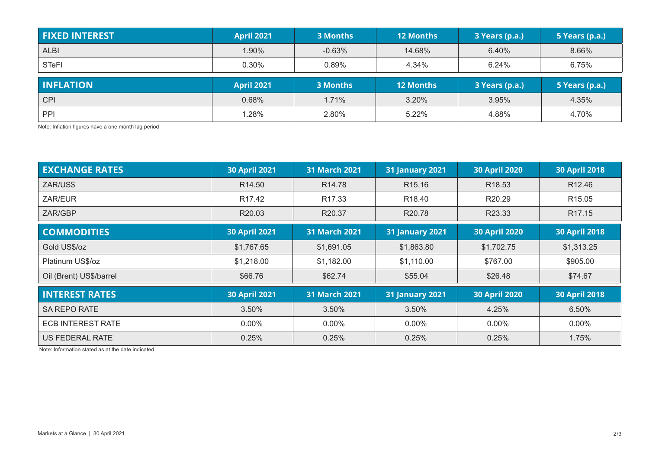| <b>FIXED INTEREST</b> | <b>April 2021</b> | 3 Months | <b>12 Months</b> | 3 Years (p.a.) | 5 Years (p.a.) |
|-----------------------|-------------------|----------|------------------|----------------|----------------|
| <b>ALBI</b>           | 1.90%             | $-0.63%$ | 14.68%           | 6.40%          | 8.66%          |
| <b>STeFI</b>          | 0.30%             | 0.89%    | 4.34%            | 6.24%          | 6.75%          |
|                       |                   |          |                  |                |                |
| <b>INFLATION</b>      | <b>April 2021</b> | 3 Months | <b>12 Months</b> | 3 Years (p.a.) | 5 Years (p.a.) |
| <b>CPI</b>            | 0.68%             | 1.71%    | 3.20%            | 3.95%          | 4.35%          |

Note: Inflation figures have a one month lag period

| <b>EXCHANGE RATES</b>    | <b>30 April 2021</b> | <b>31 March 2021</b> | <b>31 January 2021</b> | 30 April 2020        | <b>30 April 2018</b> |
|--------------------------|----------------------|----------------------|------------------------|----------------------|----------------------|
| ZAR/US\$                 | R <sub>14.50</sub>   | R <sub>14.78</sub>   | R <sub>15.16</sub>     | R <sub>18.53</sub>   | R <sub>12.46</sub>   |
| ZAR/EUR                  | R <sub>17.42</sub>   | R <sub>17.33</sub>   | R <sub>18.40</sub>     | R <sub>20.29</sub>   | R <sub>15.05</sub>   |
| ZAR/GBP                  | R20.03               | R20.37               | R20.78                 | R23.33               | R <sub>17.15</sub>   |
| <b>COMMODITIES</b>       | <b>30 April 2021</b> | <b>31 March 2021</b> | <b>31 January 2021</b> | <b>30 April 2020</b> | <b>30 April 2018</b> |
| Gold US\$/oz             | \$1,767.65           | \$1,691.05           | \$1,863.80             | \$1,702.75           | \$1,313.25           |
| Platinum US\$/oz         | \$1,218.00           | \$1,182.00           | \$1,110.00             | \$767.00             | \$905.00             |
| Oil (Brent) US\$/barrel  | \$66.76              | \$62.74              | \$55.04                | \$26.48              | \$74.67              |
| <b>INTEREST RATES</b>    | <b>30 April 2021</b> | 31 March 2021        | <b>31 January 2021</b> | <b>30 April 2020</b> | <b>30 April 2018</b> |
| <b>SA REPO RATE</b>      | 3.50%                | 3.50%                | 3.50%                  | 4.25%                | 6.50%                |
| <b>ECB INTEREST RATE</b> | $0.00\%$             | $0.00\%$             | $0.00\%$               | $0.00\%$             | $0.00\%$             |
| <b>US FEDERAL RATE</b>   | 0.25%                | 0.25%                | 0.25%                  | 0.25%                | 1.75%                |

Note: Information stated as at the date indicated